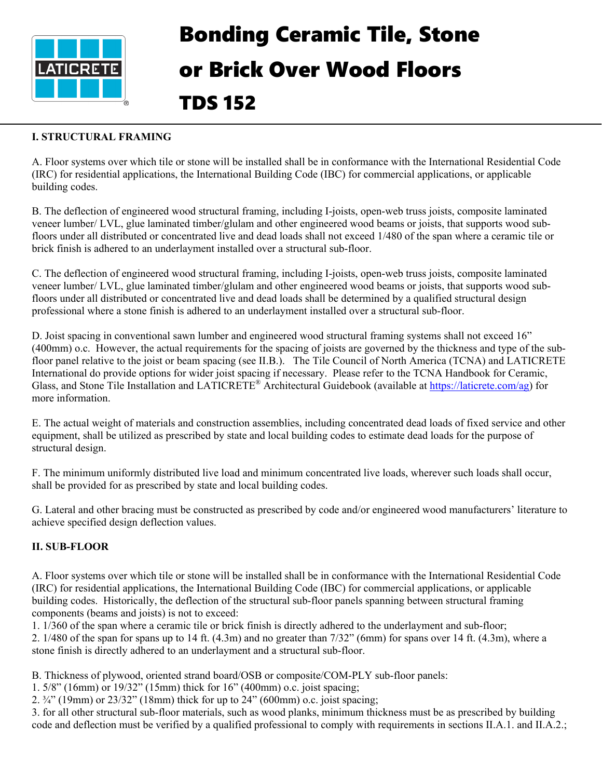

# Bonding Ceramic Tile, Stone or Brick Over Wood Floors TDS 152

#### **I. STRUCTURAL FRAMING**

A. Floor systems over which tile or stone will be installed shall be in conformance with the International Residential Code (IRC) for residential applications, the International Building Code (IBC) for commercial applications, or applicable building codes.

B. The deflection of engineered wood structural framing, including I-joists, open-web truss joists, composite laminated veneer lumber/ LVL, glue laminated timber/glulam and other engineered wood beams or joists, that supports wood subfloors under all distributed or concentrated live and dead loads shall not exceed 1/480 of the span where a ceramic tile or brick finish is adhered to an underlayment installed over a structural sub-floor.

C. The deflection of engineered wood structural framing, including I-joists, open-web truss joists, composite laminated veneer lumber/ LVL, glue laminated timber/glulam and other engineered wood beams or joists, that supports wood subfloors under all distributed or concentrated live and dead loads shall be determined by a qualified structural design professional where a stone finish is adhered to an underlayment installed over a structural sub-floor.

D. Joist spacing in conventional sawn lumber and engineered wood structural framing systems shall not exceed 16" (400mm) o.c. However, the actual requirements for the spacing of joists are governed by the thickness and type of the subfloor panel relative to the joist or beam spacing (see II.B.). The Tile Council of North America (TCNA) and LATICRETE International do provide options for wider joist spacing if necessary. Please refer to the TCNA Handbook for Ceramic, Glass, and Stone Tile Installation and LATICRETE® Architectural Guidebook (available at [https://laticrete.com/ag\)](https://laticrete.com/ag) for more information.

E. The actual weight of materials and construction assemblies, including concentrated dead loads of fixed service and other equipment, shall be utilized as prescribed by state and local building codes to estimate dead loads for the purpose of structural design.

F. The minimum uniformly distributed live load and minimum concentrated live loads, wherever such loads shall occur, shall be provided for as prescribed by state and local building codes.

G. Lateral and other bracing must be constructed as prescribed by code and/or engineered wood manufacturers' literature to achieve specified design deflection values.

### **II. SUB-FLOOR**

A. Floor systems over which tile or stone will be installed shall be in conformance with the International Residential Code (IRC) for residential applications, the International Building Code (IBC) for commercial applications, or applicable building codes. Historically, the deflection of the structural sub-floor panels spanning between structural framing components (beams and joists) is not to exceed:

1. 1/360 of the span where a ceramic tile or brick finish is directly adhered to the underlayment and sub-floor; 2. 1/480 of the span for spans up to 14 ft. (4.3m) and no greater than 7/32" (6mm) for spans over 14 ft. (4.3m), where a stone finish is directly adhered to an underlayment and a structural sub-floor.

B. Thickness of plywood, oriented strand board/OSB or composite/COM-PLY sub-floor panels:

1. 5/8" (16mm) or 19/32" (15mm) thick for 16" (400mm) o.c. joist spacing;

2. ¾" (19mm) or 23/32" (18mm) thick for up to 24" (600mm) o.c. joist spacing;

3. for all other structural sub-floor materials, such as wood planks, minimum thickness must be as prescribed by building code and deflection must be verified by a qualified professional to comply with requirements in sections II.A.1. and II.A.2.;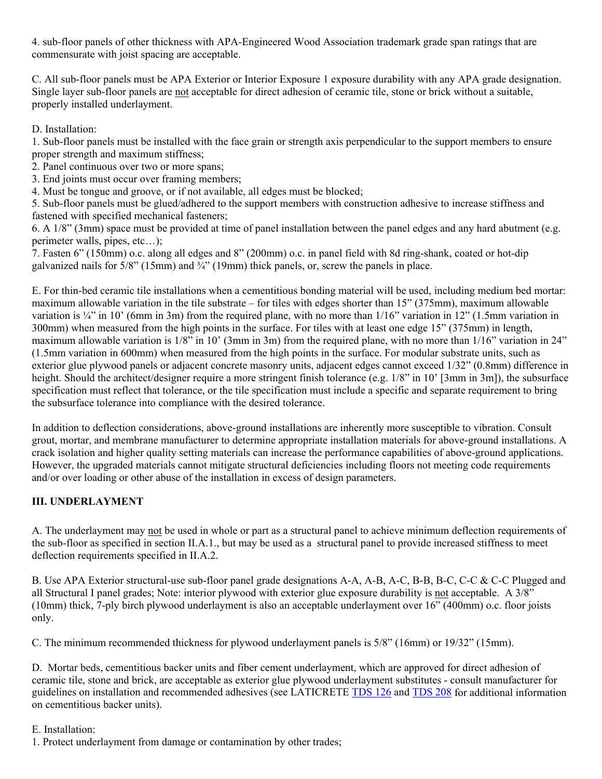4. sub-floor panels of other thickness with APA-Engineered Wood Association trademark grade span ratings that are commensurate with joist spacing are acceptable.

C. All sub-floor panels must be APA Exterior or Interior Exposure 1 exposure durability with any APA grade designation. Single layer sub-floor panels are not acceptable for direct adhesion of ceramic tile, stone or brick without a suitable, properly installed underlayment.

D. Installation:

1. Sub-floor panels must be installed with the face grain or strength axis perpendicular to the support members to ensure proper strength and maximum stiffness;

2. Panel continuous over two or more spans;

3. End joints must occur over framing members;

4. Must be tongue and groove, or if not available, all edges must be blocked;

5. Sub-floor panels must be glued/adhered to the support members with construction adhesive to increase stiffness and fastened with specified mechanical fasteners;

6. A 1/8" (3mm) space must be provided at time of panel installation between the panel edges and any hard abutment (e.g. perimeter walls, pipes, etc…);

7. Fasten 6" (150mm) o.c. along all edges and 8" (200mm) o.c. in panel field with 8d ring-shank, coated or hot-dip galvanized nails for  $5/8$ " (15mm) and  $\frac{3}{4}$ " (19mm) thick panels, or, screw the panels in place.

E. For thin-bed ceramic tile installations when a cementitious bonding material will be used, including medium bed mortar: maximum allowable variation in the tile substrate – for tiles with edges shorter than 15" (375mm), maximum allowable variation is ¼" in 10' (6mm in 3m) from the required plane, with no more than  $1/16$ " variation in 12" (1.5mm variation in 300mm) when measured from the high points in the surface. For tiles with at least one edge 15" (375mm) in length, maximum allowable variation is 1/8" in 10' (3mm in 3m) from the required plane, with no more than 1/16" variation in 24" (1.5mm variation in 600mm) when measured from the high points in the surface. For modular substrate units, such as exterior glue plywood panels or adjacent concrete masonry units, adjacent edges cannot exceed 1/32" (0.8mm) difference in height. Should the architect/designer require a more stringent finish tolerance (e.g. 1/8" in 10' [3mm in 3m]), the subsurface specification must reflect that tolerance, or the tile specification must include a specific and separate requirement to bring the subsurface tolerance into compliance with the desired tolerance.

In addition to deflection considerations, above-ground installations are inherently more susceptible to vibration. Consult grout, mortar, and membrane manufacturer to determine appropriate installation materials for above-ground installations. A crack isolation and higher quality setting materials can increase the performance capabilities of above-ground applications. However, the upgraded materials cannot mitigate structural deficiencies including floors not meeting code requirements and/or over loading or other abuse of the installation in excess of design parameters.

### **III. UNDERLAYMENT**

A. The underlayment may not be used in whole or part as a structural panel to achieve minimum deflection requirements of the sub-floor as specified in section II.A.1., but may be used as a structural panel to provide increased stiffness to meet deflection requirements specified in II.A.2.

B. Use APA Exterior structural-use sub-floor panel grade designations A-A, A-B, A-C, B-B, B-C, C-C & C-C Plugged and all Structural I panel grades; Note: interior plywood with exterior glue exposure durability is not acceptable. A 3/8" (10mm) thick, 7-ply birch plywood underlayment is also an acceptable underlayment over 16" (400mm) o.c. floor joists only.

C. The minimum recommended thickness for plywood underlayment panels is 5/8" (16mm) or 19/32" (15mm).

D. Mortar beds, cementitious backer units and fiber cement underlayment, which are approved for direct adhesion of ceramic tile, stone and brick, are acceptable as exterior glue plywood underlayment substitutes - consult manufacturer for guidelines on installation and recommended adhesives (see LATICRETE [TDS 126](https://cdn.laticrete.com/%7E/media/support-and-downloads/technical-datasheets/tds126.ashx) and [TDS 208](https://cdn.laticrete.com/%7E/media/support-and-downloads/technical-datasheets/tds208.ashx) for additional information on cementitious backer units).

#### E. Installation:

1. Protect underlayment from damage or contamination by other trades;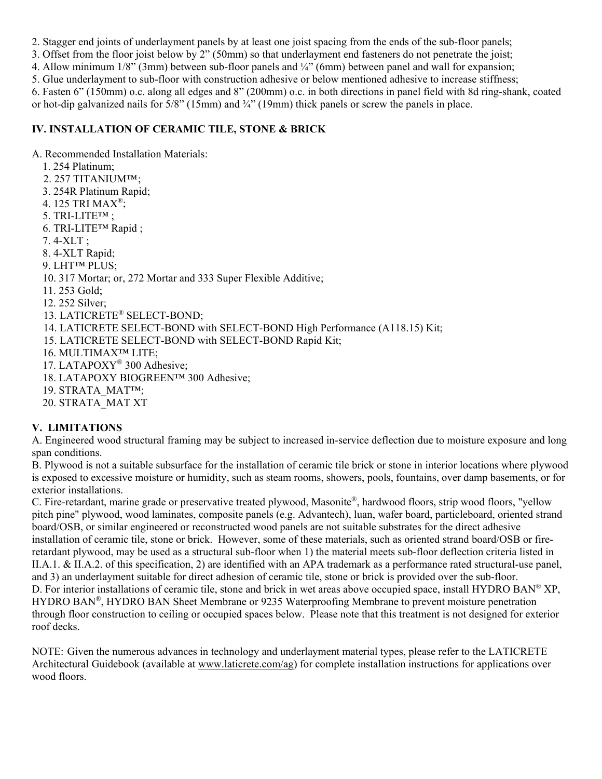2. Stagger end joints of underlayment panels by at least one joist spacing from the ends of the sub-floor panels;

3. Offset from the floor joist below by 2" (50mm) so that underlayment end fasteners do not penetrate the joist; 4. Allow minimum 1/8" (3mm) between sub-floor panels and ¼" (6mm) between panel and wall for expansion;

5. Glue underlayment to sub-floor with construction adhesive or below mentioned adhesive to increase stiffness;

6. Fasten 6" (150mm) o.c. along all edges and 8" (200mm) o.c. in both directions in panel field with 8d ring-shank, coated or hot-dip galvanized nails for  $\frac{5}{8}$ " (15mm) and  $\frac{3}{4}$ " (19mm) thick panels or screw the panels in place.

## **IV. INSTALLATION OF CERAMIC TILE, STONE & BRICK**

A. Recommended Installation Materials:

- 1. 254 Platinum;
- 2. 257 TITANIUM™;
- 3. 254R Platinum Rapid;
- 4. 125 TRI MAX®;
- 5. TRI-LITE™ ;
- 6. TRI-LITE™ Rapid ;
- 7. 4-XLT ;
- 8. 4-XLT Rapid;
- 9. LHT™ PLUS;
- 10. 317 Mortar; or, 272 Mortar and 333 Super Flexible Additive;
- 11. 253 Gold;
- 12. 252 Silver;
- 13. LATICRETE® SELECT-BOND;
- 14. LATICRETE SELECT-BOND with SELECT-BOND High Performance (A118.15) Kit;
- 15. LATICRETE SELECT-BOND with SELECT-BOND Rapid Kit;
- 16. MULTIMAX™ LITE;
- 17. LATAPOXY® 300 Adhesive;
- 18. LATAPOXY BIOGREEN™ 300 Adhesive;
- 19. STRATA\_MAT™;
- 20. STRATA\_MAT XT

# **V. LIMITATIONS**

A. Engineered wood structural framing may be subject to increased in-service deflection due to moisture exposure and long span conditions.

B. Plywood is not a suitable subsurface for the installation of ceramic tile brick or stone in interior locations where plywood is exposed to excessive moisture or humidity, such as steam rooms, showers, pools, fountains, over damp basements, or for exterior installations.

C. Fire-retardant, marine grade or preservative treated plywood, Masonite®, hardwood floors, strip wood floors, "yellow pitch pine" plywood, wood laminates, composite panels (e.g. Advantech), luan, wafer board, particleboard, oriented strand board/OSB, or similar engineered or reconstructed wood panels are not suitable substrates for the direct adhesive installation of ceramic tile, stone or brick. However, some of these materials, such as oriented strand board/OSB or fireretardant plywood, may be used as a structural sub-floor when 1) the material meets sub-floor deflection criteria listed in II.A.1. & II.A.2. of this specification, 2) are identified with an APA trademark as a performance rated structural-use panel, and 3) an underlayment suitable for direct adhesion of ceramic tile, stone or brick is provided over the sub-floor. D. For interior installations of ceramic tile, stone and brick in wet areas above occupied space, install HYDRO BAN® XP, HYDRO BAN®, HYDRO BAN Sheet Membrane or 9235 Waterproofing Membrane to prevent moisture penetration through floor construction to ceiling or occupied spaces below. Please note that this treatment is not designed for exterior roof decks.

NOTE: Given the numerous advances in technology and underlayment material types, please refer to the LATICRETE Architectural Guidebook (available at [www.laticrete.com/ag\)](http://www.laticrete.com/ag) for complete installation instructions for applications over wood floors.